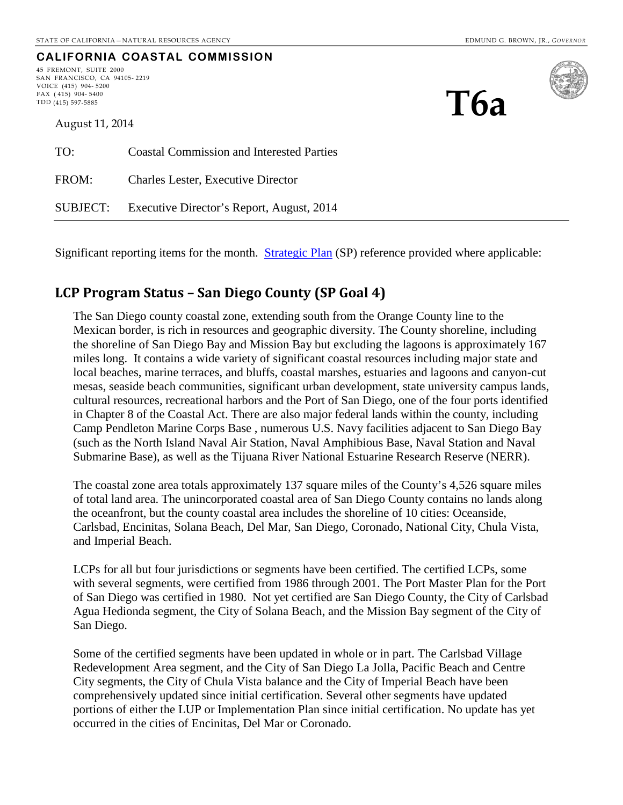**T6a**

# **CALIFORNIA COASTAL COMMISSION**

45 FREMONT, SUITE 2000 SAN FRANCISCO, CA 94105- 2219 VOICE (415) 904- 5200 FAX ( 415) 904- 5400 TDD (415) 597-5885



August 11, 2014

| TO:      | <b>Coastal Commission and Interested Parties</b> |
|----------|--------------------------------------------------|
| FROM:    | <b>Charles Lester, Executive Director</b>        |
| SUBJECT: | Executive Director's Report, August, 2014        |

Significant reporting items for the month. [Strategic Plan](http://www.coastal.ca.gov/strategicplan/CCC_Final_StrategicPlan_2013-2018.pdf) (SP) reference provided where applicable:

### **LCP Program Status – San Diego County (SP Goal 4)**

The San Diego county coastal zone, extending south from the Orange County line to the Mexican border, is rich in resources and geographic diversity. The County shoreline, including the shoreline of San Diego Bay and Mission Bay but excluding the lagoons is approximately 167 miles long. It contains a wide variety of significant coastal resources including major state and local beaches, marine terraces, and bluffs, coastal marshes, estuaries and lagoons and canyon-cut mesas, seaside beach communities, significant urban development, state university campus lands, cultural resources, recreational harbors and the Port of San Diego, one of the four ports identified in Chapter 8 of the Coastal Act. There are also major federal lands within the county, including Camp Pendleton Marine Corps Base , numerous U.S. Navy facilities adjacent to San Diego Bay (such as the North Island Naval Air Station, Naval Amphibious Base, Naval Station and Naval Submarine Base), as well as the Tijuana River National Estuarine Research Reserve (NERR).

The coastal zone area totals approximately 137 square miles of the County's 4,526 square miles of total land area. The unincorporated coastal area of San Diego County contains no lands along the oceanfront, but the county coastal area includes the shoreline of 10 cities: Oceanside, Carlsbad, Encinitas, Solana Beach, Del Mar, San Diego, Coronado, National City, Chula Vista, and Imperial Beach.

LCPs for all but four jurisdictions or segments have been certified. The certified LCPs, some with several segments, were certified from 1986 through 2001. The Port Master Plan for the Port of San Diego was certified in 1980. Not yet certified are San Diego County, the City of Carlsbad Agua Hedionda segment, the City of Solana Beach, and the Mission Bay segment of the City of San Diego.

Some of the certified segments have been updated in whole or in part. The Carlsbad Village Redevelopment Area segment, and the City of San Diego La Jolla, Pacific Beach and Centre City segments, the City of Chula Vista balance and the City of Imperial Beach have been comprehensively updated since initial certification. Several other segments have updated portions of either the LUP or Implementation Plan since initial certification. No update has yet occurred in the cities of Encinitas, Del Mar or Coronado.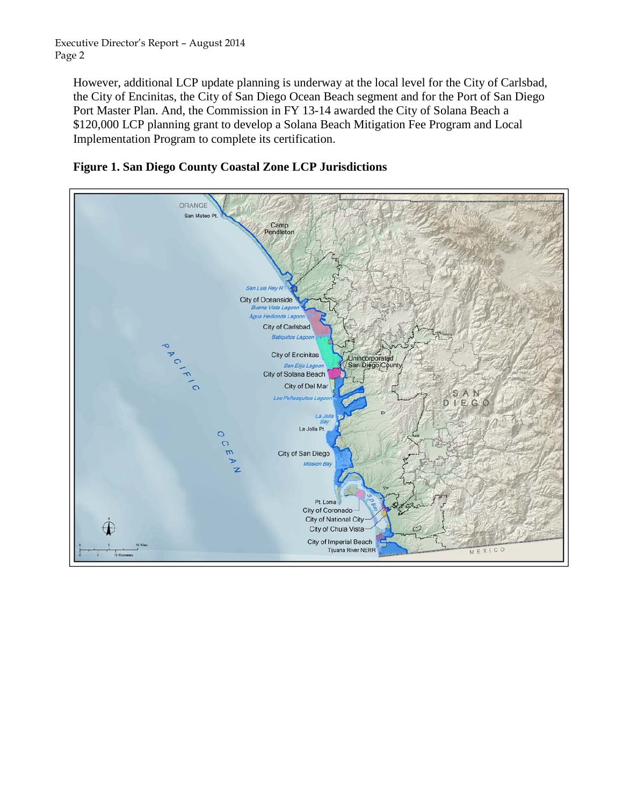Executive Director's Report – August 2014 Page 2

However, additional LCP update planning is underway at the local level for the City of Carlsbad, the City of Encinitas, the City of San Diego Ocean Beach segment and for the Port of San Diego Port Master Plan. And, the Commission in FY 13-14 awarded the City of Solana Beach a \$120,000 LCP planning grant to develop a Solana Beach Mitigation Fee Program and Local Implementation Program to complete its certification.



**Figure 1. San Diego County Coastal Zone LCP Jurisdictions**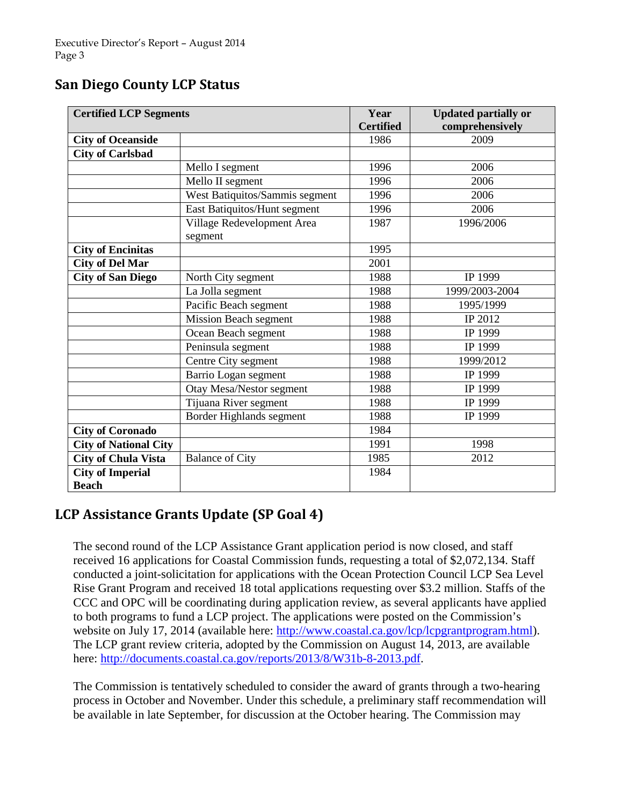## **San Diego County LCP Status**

| <b>Certified LCP Segments</b> |                                | Year<br><b>Certified</b> | <b>Updated partially or</b><br>comprehensively |
|-------------------------------|--------------------------------|--------------------------|------------------------------------------------|
| <b>City of Oceanside</b>      |                                | 1986                     | 2009                                           |
| <b>City of Carlsbad</b>       |                                |                          |                                                |
|                               | Mello I segment                | 1996                     | 2006                                           |
|                               | Mello II segment               | 1996                     | 2006                                           |
|                               | West Batiquitos/Sammis segment | 1996                     | 2006                                           |
|                               | East Batiquitos/Hunt segment   | 1996                     | 2006                                           |
|                               | Village Redevelopment Area     | 1987                     | 1996/2006                                      |
|                               | segment                        |                          |                                                |
| <b>City of Encinitas</b>      |                                | 1995                     |                                                |
| <b>City of Del Mar</b>        |                                | 2001                     |                                                |
| <b>City of San Diego</b>      | North City segment             | 1988                     | IP 1999                                        |
|                               | La Jolla segment               | 1988                     | 1999/2003-2004                                 |
|                               | Pacific Beach segment          | 1988                     | 1995/1999                                      |
|                               | <b>Mission Beach segment</b>   | 1988                     | IP 2012                                        |
|                               | Ocean Beach segment            | 1988                     | IP 1999                                        |
|                               | Peninsula segment              | 1988                     | IP 1999                                        |
|                               | Centre City segment            | 1988                     | 1999/2012                                      |
|                               | Barrio Logan segment           | 1988                     | IP 1999                                        |
|                               | Otay Mesa/Nestor segment       | 1988                     | IP 1999                                        |
|                               | Tijuana River segment          | 1988                     | IP 1999                                        |
|                               | Border Highlands segment       | 1988                     | IP 1999                                        |
| <b>City of Coronado</b>       |                                | 1984                     |                                                |
| <b>City of National City</b>  |                                | 1991                     | 1998                                           |
| <b>City of Chula Vista</b>    | <b>Balance of City</b>         | 1985                     | 2012                                           |
| <b>City of Imperial</b>       |                                | 1984                     |                                                |
| <b>Beach</b>                  |                                |                          |                                                |

### **LCP Assistance Grants Update (SP Goal 4)**

The second round of the LCP Assistance Grant application period is now closed, and staff received 16 applications for Coastal Commission funds, requesting a total of \$2,072,134. Staff conducted a joint-solicitation for applications with the Ocean Protection Council LCP Sea Level Rise Grant Program and received 18 total applications requesting over \$3.2 million. Staffs of the CCC and OPC will be coordinating during application review, as several applicants have applied to both programs to fund a LCP project. The applications were posted on the Commission's website on July 17, 2014 (available here: [http://www.coastal.ca.gov/lcp/lcpgrantprogram.html\)](http://www.coastal.ca.gov/lcp/lcpgrantprogram.html). The LCP grant review criteria, adopted by the Commission on August 14, 2013, are available here: [http://documents.coastal.ca.gov/reports/2013/8/W31b-8-2013.pdf.](http://documents.coastal.ca.gov/reports/2013/8/W31b-8-2013.pdf)

The Commission is tentatively scheduled to consider the award of grants through a two-hearing process in October and November. Under this schedule, a preliminary staff recommendation will be available in late September, for discussion at the October hearing. The Commission may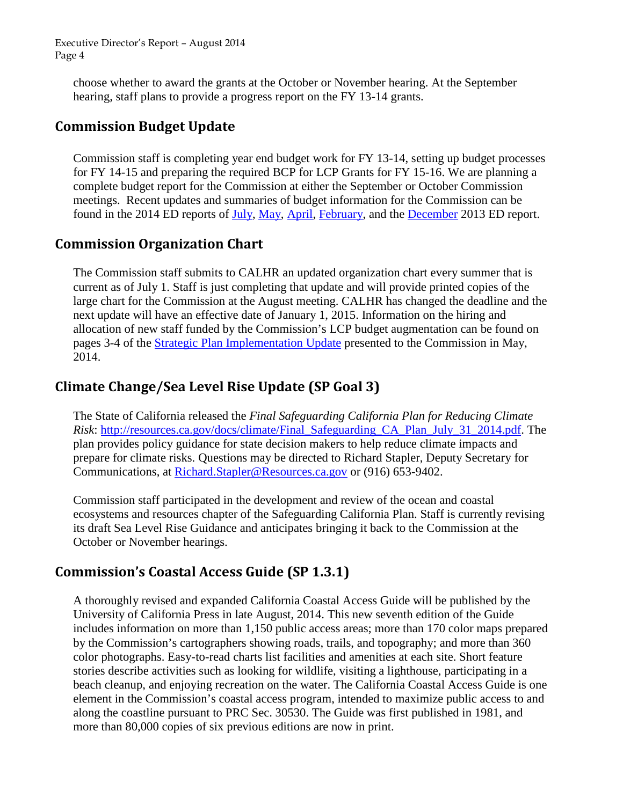Executive Director's Report – August 2014 Page 4

choose whether to award the grants at the October or November hearing. At the September hearing, staff plans to provide a progress report on the FY 13-14 grants.

#### **Commission Budget Update**

Commission staff is completing year end budget work for FY 13-14, setting up budget processes for FY 14-15 and preparing the required BCP for LCP Grants for FY 15-16. We are planning a complete budget report for the Commission at either the September or October Commission meetings. Recent updates and summaries of budget information for the Commission can be found in the 2014 ED reports of [July,](http://documents.coastal.ca.gov/reports/2014/7/W6a-7-2014.pdf) [May,](http://documents.coastal.ca.gov/reports/2014/5/W6a-5-2014.pdf) [April,](http://documents.coastal.ca.gov/reports/2014/4/W6b-4-2014.pdf) [February,](http://documents.coastal.ca.gov/reports/2014/2/W5a-2-2014.pdf) and the [December](http://documents.coastal.ca.gov/reports/2013/12/W6a-12-2013.pdf) 2013 ED report.

#### **Commission Organization Chart**

The Commission staff submits to CALHR an updated organization chart every summer that is current as of July 1. Staff is just completing that update and will provide printed copies of the large chart for the Commission at the August meeting. CALHR has changed the deadline and the next update will have an effective date of January 1, 2015. Information on the hiring and allocation of new staff funded by the Commission's LCP budget augmentation can be found on pages 3-4 of the [Strategic Plan Implementation Update](http://documents.coastal.ca.gov/reports/2014/5/W6g-5-2014.pdf) presented to the Commission in May, 2014.

### **Climate Change/Sea Level Rise Update (SP Goal 3)**

The State of California released the *Final Safeguarding California Plan for Reducing Climate Risk*: [http://resources.ca.gov/docs/climate/Final\\_Safeguarding\\_CA\\_Plan\\_July\\_31\\_2014.pdf.](http://resources.ca.gov/docs/climate/Final_Safeguarding_CA_Plan_July_31_2014.pdf) The plan provides policy guidance for state decision makers to help reduce climate impacts and prepare for climate risks. Questions may be directed to Richard Stapler, Deputy Secretary for Communications, at [Richard.Stapler@Resources.ca.gov](mailto:richard.stapler@resources.ca.gov) or (916) 653-9402.

Commission staff participated in the development and review of the ocean and coastal ecosystems and resources chapter of the Safeguarding California Plan. Staff is currently revising its draft Sea Level Rise Guidance and anticipates bringing it back to the Commission at the October or November hearings.

### **Commission's Coastal Access Guide (SP 1.3.1)**

A thoroughly revised and expanded California Coastal Access Guide will be published by the University of California Press in late August, 2014. This new seventh edition of the Guide includes information on more than 1,150 public access areas; more than 170 color maps prepared by the Commission's cartographers showing roads, trails, and topography; and more than 360 color photographs. Easy-to-read charts list facilities and amenities at each site. Short feature stories describe activities such as looking for wildlife, visiting a lighthouse, participating in a beach cleanup, and enjoying recreation on the water. The California Coastal Access Guide is one element in the Commission's coastal access program, intended to maximize public access to and along the coastline pursuant to PRC Sec. 30530. The Guide was first published in 1981, and more than 80,000 copies of six previous editions are now in print.